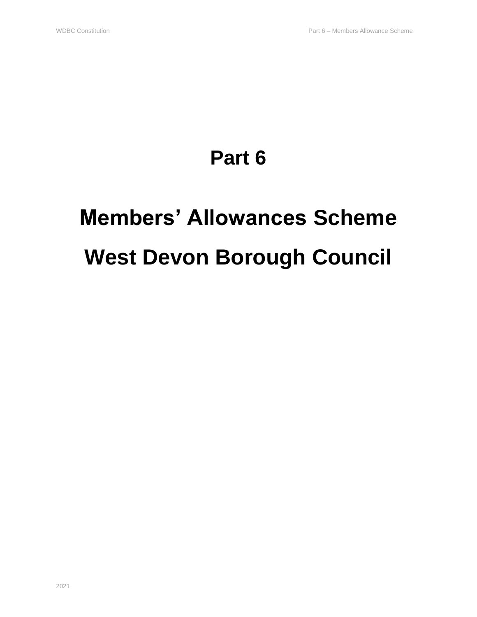# **Part 6**

# **Members' Allowances Scheme West Devon Borough Council**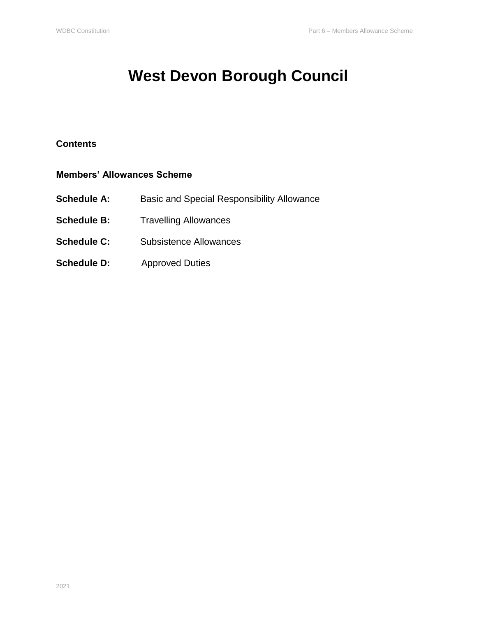# **West Devon Borough Council**

#### **Contents**

#### **Members' Allowances Scheme**

- **Schedule A:** Basic and Special Responsibility Allowance
- **Schedule B:** Travelling Allowances
- **Schedule C:** Subsistence Allowances
- **Schedule D:** Approved Duties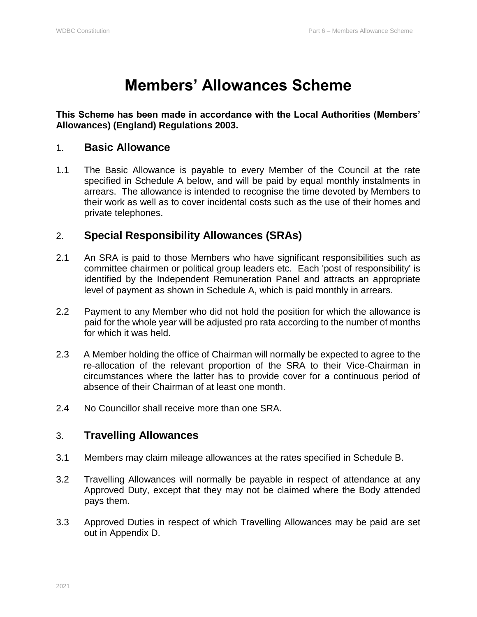### **Members' Allowances Scheme**

#### **This Scheme has been made in accordance with the Local Authorities (Members' Allowances) (England) Regulations 2003.**

#### 1. **Basic Allowance**

1.1 The Basic Allowance is payable to every Member of the Council at the rate specified in Schedule A below, and will be paid by equal monthly instalments in arrears. The allowance is intended to recognise the time devoted by Members to their work as well as to cover incidental costs such as the use of their homes and private telephones.

### 2. **Special Responsibility Allowances (SRAs)**

- 2.1 An SRA is paid to those Members who have significant responsibilities such as committee chairmen or political group leaders etc. Each 'post of responsibility' is identified by the Independent Remuneration Panel and attracts an appropriate level of payment as shown in Schedule A, which is paid monthly in arrears.
- 2.2 Payment to any Member who did not hold the position for which the allowance is paid for the whole year will be adjusted pro rata according to the number of months for which it was held.
- 2.3 A Member holding the office of Chairman will normally be expected to agree to the re-allocation of the relevant proportion of the SRA to their Vice-Chairman in circumstances where the latter has to provide cover for a continuous period of absence of their Chairman of at least one month.
- 2.4 No Councillor shall receive more than one SRA.

### 3. **Travelling Allowances**

- 3.1 Members may claim mileage allowances at the rates specified in Schedule B.
- 3.2 Travelling Allowances will normally be payable in respect of attendance at any Approved Duty, except that they may not be claimed where the Body attended pays them.
- 3.3 Approved Duties in respect of which Travelling Allowances may be paid are set out in Appendix D.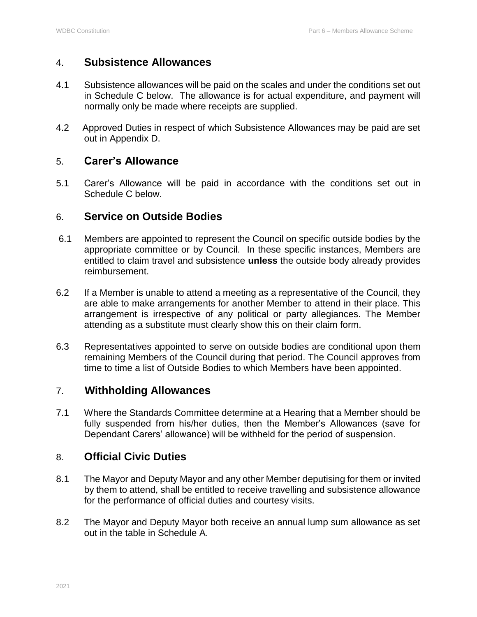#### 4. **Subsistence Allowances**

- 4.1 Subsistence allowances will be paid on the scales and under the conditions set out in Schedule C below. The allowance is for actual expenditure, and payment will normally only be made where receipts are supplied.
- 4.2 Approved Duties in respect of which Subsistence Allowances may be paid are set out in Appendix D.

#### 5. **Carer's Allowance**

5.1 Carer's Allowance will be paid in accordance with the conditions set out in Schedule C below.

#### 6. **Service on Outside Bodies**

- 6.1 Members are appointed to represent the Council on specific outside bodies by the appropriate committee or by Council. In these specific instances, Members are entitled to claim travel and subsistence **unless** the outside body already provides reimbursement.
- 6.2 If a Member is unable to attend a meeting as a representative of the Council, they are able to make arrangements for another Member to attend in their place. This arrangement is irrespective of any political or party allegiances. The Member attending as a substitute must clearly show this on their claim form.
- 6.3 Representatives appointed to serve on outside bodies are conditional upon them remaining Members of the Council during that period. The Council approves from time to time a list of Outside Bodies to which Members have been appointed.

#### 7. **Withholding Allowances**

7.1 Where the Standards Committee determine at a Hearing that a Member should be fully suspended from his/her duties, then the Member's Allowances (save for Dependant Carers' allowance) will be withheld for the period of suspension.

#### 8. **Official Civic Duties**

- 8.1 The Mayor and Deputy Mayor and any other Member deputising for them or invited by them to attend, shall be entitled to receive travelling and subsistence allowance for the performance of official duties and courtesy visits.
- 8.2 The Mayor and Deputy Mayor both receive an annual lump sum allowance as set out in the table in Schedule A.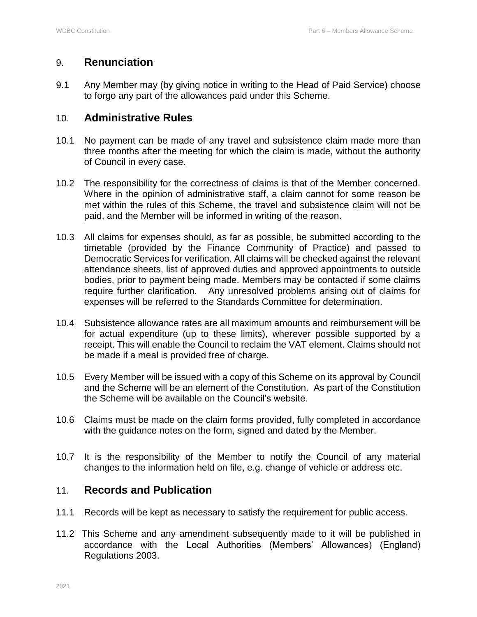#### 9. **Renunciation**

9.1 Any Member may (by giving notice in writing to the Head of Paid Service) choose to forgo any part of the allowances paid under this Scheme.

#### 10. **Administrative Rules**

- 10.1 No payment can be made of any travel and subsistence claim made more than three months after the meeting for which the claim is made, without the authority of Council in every case.
- 10.2 The responsibility for the correctness of claims is that of the Member concerned. Where in the opinion of administrative staff, a claim cannot for some reason be met within the rules of this Scheme, the travel and subsistence claim will not be paid, and the Member will be informed in writing of the reason.
- 10.3 All claims for expenses should, as far as possible, be submitted according to the timetable (provided by the Finance Community of Practice) and passed to Democratic Services for verification. All claims will be checked against the relevant attendance sheets, list of approved duties and approved appointments to outside bodies, prior to payment being made. Members may be contacted if some claims require further clarification. Any unresolved problems arising out of claims for expenses will be referred to the Standards Committee for determination.
- 10.4 Subsistence allowance rates are all maximum amounts and reimbursement will be for actual expenditure (up to these limits), wherever possible supported by a receipt. This will enable the Council to reclaim the VAT element. Claims should not be made if a meal is provided free of charge.
- 10.5 Every Member will be issued with a copy of this Scheme on its approval by Council and the Scheme will be an element of the Constitution. As part of the Constitution the Scheme will be available on the Council's website.
- 10.6 Claims must be made on the claim forms provided, fully completed in accordance with the guidance notes on the form, signed and dated by the Member.
- 10.7 It is the responsibility of the Member to notify the Council of any material changes to the information held on file, e.g. change of vehicle or address etc.

#### 11. **Records and Publication**

- 11.1 Records will be kept as necessary to satisfy the requirement for public access.
- 11.2 This Scheme and any amendment subsequently made to it will be published in accordance with the Local Authorities (Members' Allowances) (England) Regulations 2003.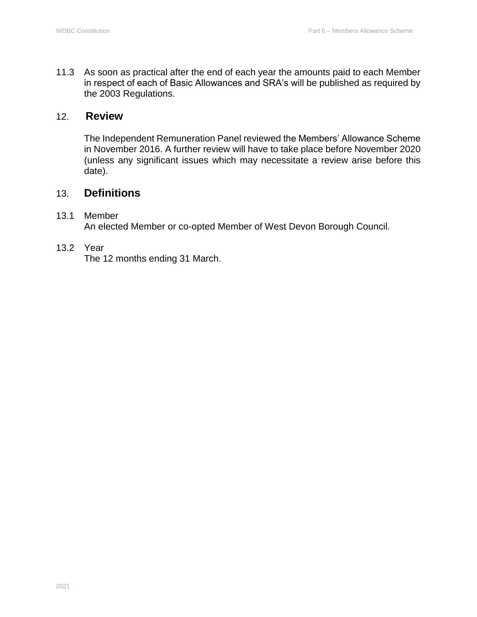11.3 As soon as practical after the end of each year the amounts paid to each Member in respect of each of Basic Allowances and SRA's will be published as required by the 2003 Regulations.

#### 12. **Review**

The Independent Remuneration Panel reviewed the Members' Allowance Scheme in November 2016. A further review will have to take place before November 2020 (unless any significant issues which may necessitate a review arise before this date).

#### 13. **Definitions**

#### 13.1 Member

An elected Member or co-opted Member of West Devon Borough Council.

#### 13.2 Year

The 12 months ending 31 March.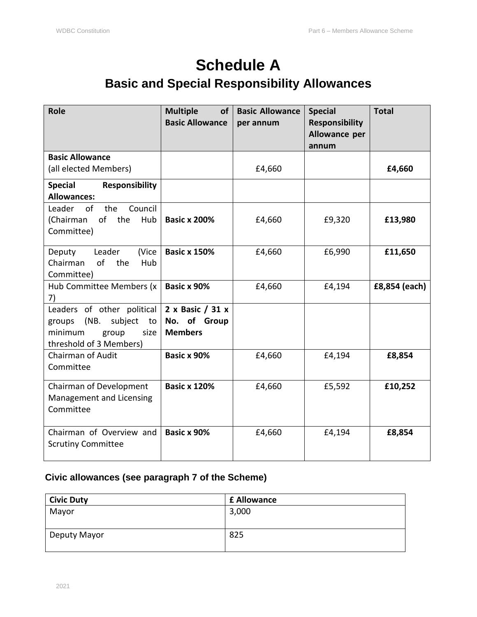### **Schedule A Basic and Special Responsibility Allowances**

| <b>Role</b>                                                                                                          | <b>Multiple</b><br><b>of</b><br><b>Basic Allowance</b> | <b>Basic Allowance</b><br>per annum | <b>Special</b><br><b>Responsibility</b><br>Allowance per<br>annum | <b>Total</b>  |
|----------------------------------------------------------------------------------------------------------------------|--------------------------------------------------------|-------------------------------------|-------------------------------------------------------------------|---------------|
| <b>Basic Allowance</b><br>(all elected Members)                                                                      |                                                        | £4,660                              |                                                                   | £4,660        |
| <b>Special</b><br><b>Responsibility</b><br><b>Allowances:</b>                                                        |                                                        |                                     |                                                                   |               |
| the<br>Council<br>Leader<br>0f<br>(Chairman<br>of<br>the<br>Hub<br>Committee)                                        | <b>Basic x 200%</b>                                    | £4,660                              | £9,320                                                            | £13,980       |
| Leader<br>(Vice<br>Deputy<br>of<br>Chairman<br>the<br>Hub<br>Committee)                                              | <b>Basic x 150%</b>                                    | £4,660                              | £6,990                                                            | £11,650       |
| Hub Committee Members (x<br>7)                                                                                       | Basic x 90%                                            | £4,660                              | £4,194                                                            | £8,854 (each) |
| Leaders of other political<br>subject<br>(NB.<br>groups<br>to<br>minimum<br>group<br>size<br>threshold of 3 Members) | 2 x Basic / 31 x<br>No. of Group<br><b>Members</b>     |                                     |                                                                   |               |
| <b>Chairman of Audit</b><br>Committee                                                                                | Basic x 90%                                            | £4,660                              | £4,194                                                            | £8,854        |
| Chairman of Development<br>Management and Licensing<br>Committee                                                     | <b>Basic x 120%</b>                                    | £4,660                              | £5,592                                                            | £10,252       |
| Chairman of Overview and<br><b>Scrutiny Committee</b>                                                                | Basic x 90%                                            | £4,660                              | £4,194                                                            | £8,854        |

#### **Civic allowances (see paragraph 7 of the Scheme)**

| <b>Civic Duty</b> | <b>£ Allowance</b> |
|-------------------|--------------------|
| Mayor             | 3,000              |
|                   |                    |
| Deputy Mayor      | 825                |
|                   |                    |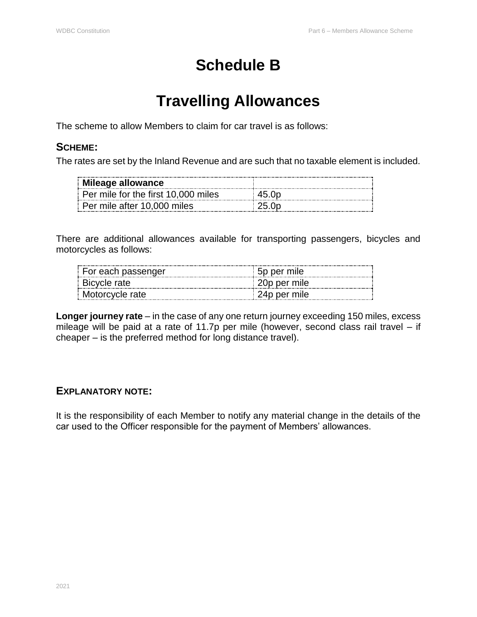# **Schedule B**

# **Travelling Allowances**

The scheme to allow Members to claim for car travel is as follows:

### **SCHEME:**

The rates are set by the Inland Revenue and are such that no taxable element is included.

| $\parallel$ Mileage allowance       |       |
|-------------------------------------|-------|
| Per mile for the first 10,000 miles |       |
| Per mile after 10,000 miles         | 25 Or |

There are additional allowances available for transporting passengers, bicycles and motorcycles as follows:

| For each passenger | bp per mile  |
|--------------------|--------------|
| Bicycle rate       | 20p per mile |
| Motorcycle rate    | 24p per mile |

**Longer journey rate** – in the case of any one return journey exceeding 150 miles, excess mileage will be paid at a rate of 11.7p per mile (however, second class rail travel – if cheaper – is the preferred method for long distance travel).

### **EXPLANATORY NOTE:**

It is the responsibility of each Member to notify any material change in the details of the car used to the Officer responsible for the payment of Members' allowances.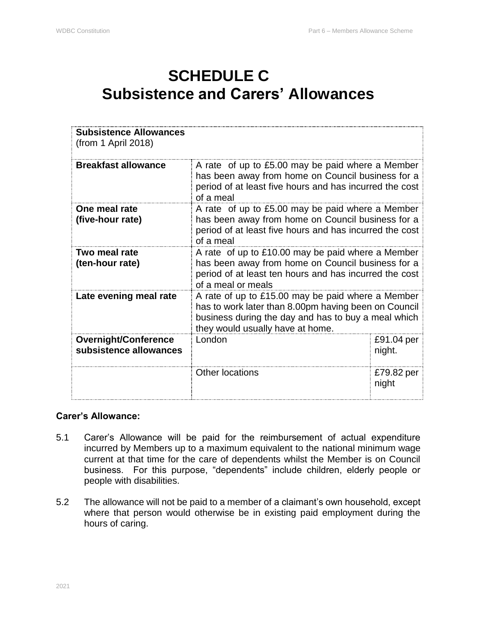# **SCHEDULE C Subsistence and Carers' Allowances**

| <b>Subsistence Allowances</b><br>(from 1 April 2018)  |                                                                                                                                                                                                      |                      |  |
|-------------------------------------------------------|------------------------------------------------------------------------------------------------------------------------------------------------------------------------------------------------------|----------------------|--|
| <b>Breakfast allowance</b>                            | A rate of up to £5.00 may be paid where a Member<br>has been away from home on Council business for a<br>period of at least five hours and has incurred the cost<br>of a meal                        |                      |  |
| One meal rate<br>(five-hour rate)                     | A rate of up to £5.00 may be paid where a Member<br>has been away from home on Council business for a<br>period of at least five hours and has incurred the cost<br>of a meal                        |                      |  |
| Two meal rate<br>(ten-hour rate)                      | A rate of up to £10.00 may be paid where a Member<br>has been away from home on Council business for a<br>period of at least ten hours and has incurred the cost<br>of a meal or meals               |                      |  |
| Late evening meal rate                                | A rate of up to £15.00 may be paid where a Member<br>has to work later than 8.00pm having been on Council<br>business during the day and has to buy a meal which<br>they would usually have at home. |                      |  |
| <b>Overnight/Conference</b><br>subsistence allowances | London                                                                                                                                                                                               | £91.04 per<br>night. |  |
|                                                       | <b>Other locations</b>                                                                                                                                                                               | £79.82 per<br>night  |  |

#### **Carer's Allowance:**

- 5.1 Carer's Allowance will be paid for the reimbursement of actual expenditure incurred by Members up to a maximum equivalent to the national minimum wage current at that time for the care of dependents whilst the Member is on Council business. For this purpose, "dependents" include children, elderly people or people with disabilities.
- 5.2 The allowance will not be paid to a member of a claimant's own household, except where that person would otherwise be in existing paid employment during the hours of caring.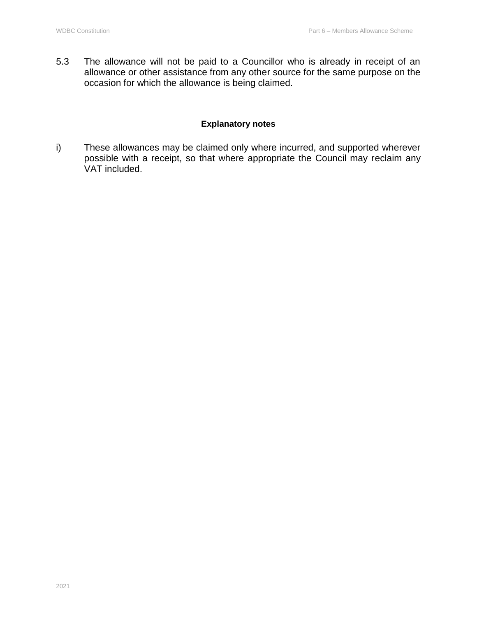5.3 The allowance will not be paid to a Councillor who is already in receipt of an allowance or other assistance from any other source for the same purpose on the occasion for which the allowance is being claimed.

#### **Explanatory notes**

i) These allowances may be claimed only where incurred, and supported wherever possible with a receipt, so that where appropriate the Council may reclaim any VAT included.